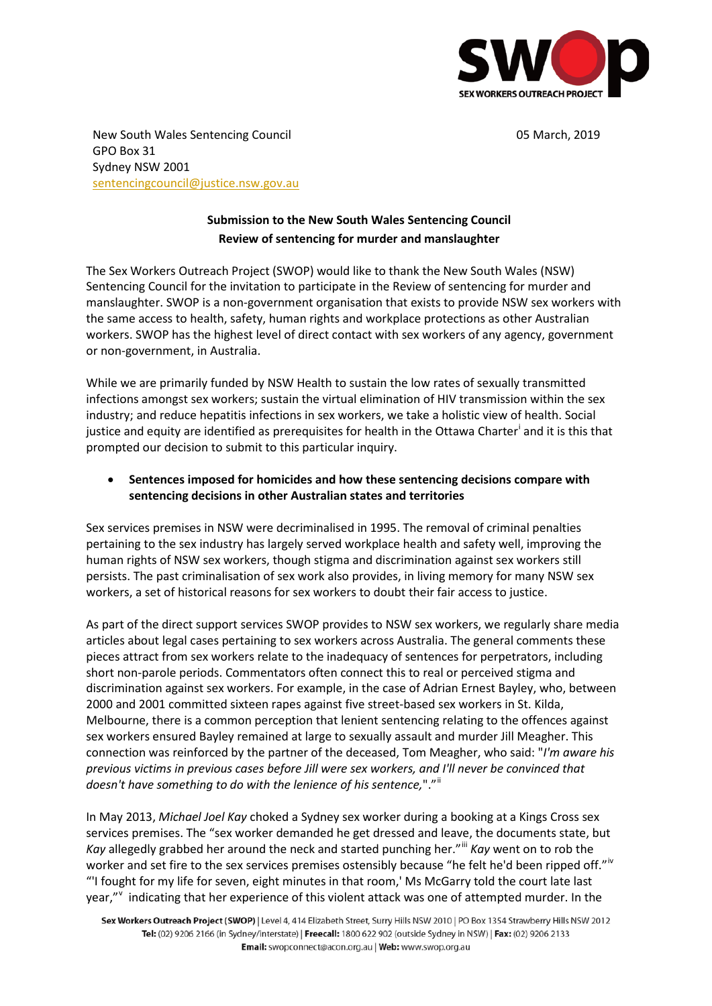

New South Wales Sentencing Council 05 March, 2019 GPO Box 31 Sydney NSW 2001 sentencingcouncil@justice.nsw.gov.au

## **Submission to the New South Wales Sentencing Council Review of sentencing for murder and manslaughter**

The Sex Workers Outreach Project (SWOP) would like to thank the New South Wales (NSW) Sentencing Council for the invitation to participate in the Review of sentencing for murder and manslaughter. SWOP is a non-government organisation that exists to provide NSW sex workers with the same access to health, safety, human rights and workplace protections as other Australian workers. SWOP has the highest level of direct contact with sex workers of any agency, government or non-government, in Australia.

While we are primarily funded by NSW Health to sustain the low rates of sexually transmitted infections amongst sex workers; sustain the virtual elimination of HIV transmission within the sex industry; and reduce hepatitis infections in sex workers, we take a holistic view of health. Social justice and equity are identified as prerequisites for health in the Ottawa Charter<sup>i</sup> and it is this that prompted our decision to submit to this particular inquiry.

## • **Sentences imposed for homicides and how these sentencing decisions compare with sentencing decisions in other Australian states and territories**

Sex services premises in NSW were decriminalised in 1995. The removal of criminal penalties pertaining to the sex industry has largely served workplace health and safety well, improving the human rights of NSW sex workers, though stigma and discrimination against sex workers still persists. The past criminalisation of sex work also provides, in living memory for many NSW sex workers, a set of historical reasons for sex workers to doubt their fair access to justice.

As part of the direct support services SWOP provides to NSW sex workers, we regularly share media articles about legal cases pertaining to sex workers across Australia. The general comments these pieces attract from sex workers relate to the inadequacy of sentences for perpetrators, including short non-parole periods. Commentators often connect this to real or perceived stigma and discrimination against sex workers. For example, in the case of Adrian Ernest Bayley, who, between 2000 and 2001 committed sixteen rapes against five street-based sex workers in St. Kilda, Melbourne, there is a common perception that lenient sentencing relating to the offences against sex workers ensured Bayley remained at large to sexually assault and murder Jill Meagher. This connection was reinforced by the partner of the deceased, Tom Meagher, who said: "*I'm aware his previous victims in previous cases before Jill were sex workers, and I'll never be convinced that doesn't have something to do with the lenience of his sentence,*"."ii

In May 2013, *Michael Joel Kay* choked a Sydney sex worker during a booking at a Kings Cross sex services premises. The "sex worker demanded he get dressed and leave, the documents state, but *Kay* allegedly grabbed her around the neck and started punching her."<sup>iii</sup> *Kay* went on to rob the worker and set fire to the sex services premises ostensibly because "he felt he'd been ripped off."<sup>iv</sup> "'I fought for my life for seven, eight minutes in that room,' Ms McGarry told the court late last year," indicating that her experience of this violent attack was one of attempted murder. In the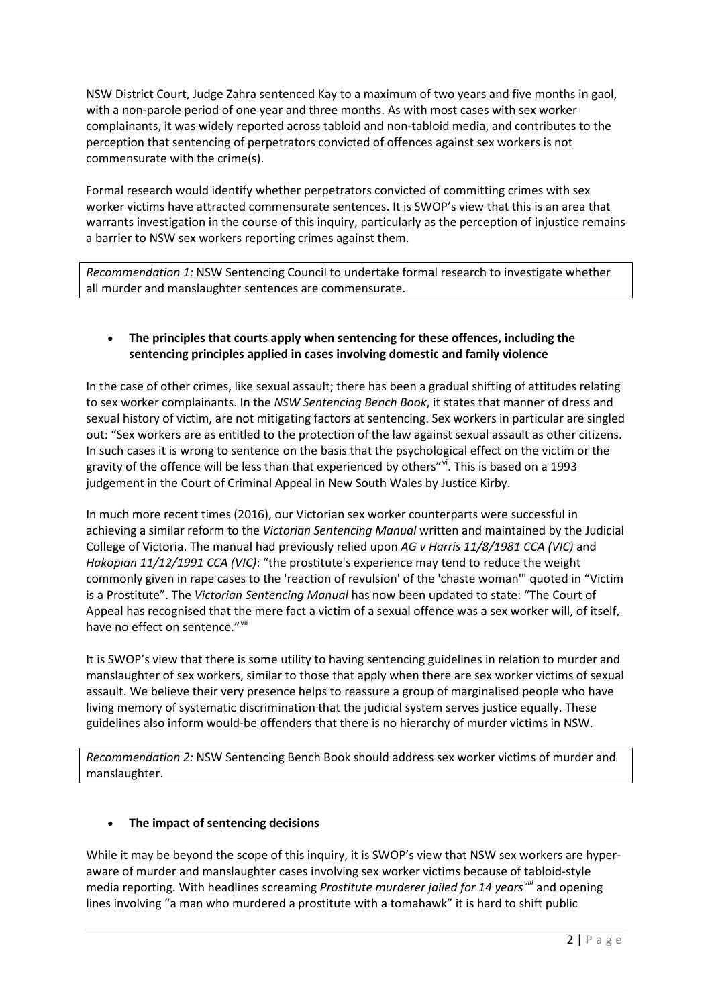NSW District Court, Judge Zahra sentenced Kay to a maximum of two years and five months in gaol, with a non-parole period of one year and three months. As with most cases with sex worker complainants, it was widely reported across tabloid and non-tabloid media, and contributes to the perception that sentencing of perpetrators convicted of offences against sex workers is not commensurate with the crime(s).

Formal research would identify whether perpetrators convicted of committing crimes with sex worker victims have attracted commensurate sentences. It is SWOP's view that this is an area that warrants investigation in the course of this inquiry, particularly as the perception of injustice remains a barrier to NSW sex workers reporting crimes against them.

*Recommendation 1:* NSW Sentencing Council to undertake formal research to investigate whether all murder and manslaughter sentences are commensurate.

## • **The principles that courts apply when sentencing for these offences, including the sentencing principles applied in cases involving domestic and family violence**

In the case of other crimes, like sexual assault; there has been a gradual shifting of attitudes relating to sex worker complainants. In the *NSW Sentencing Bench Book*, it states that manner of dress and sexual history of victim, are not mitigating factors at sentencing. Sex workers in particular are singled out: "Sex workers are as entitled to the protection of the law against sexual assault as other citizens. In such cases it is wrong to sentence on the basis that the psychological effect on the victim or the gravity of the offence will be less than that experienced by others"vi. This is based on a 1993 judgement in the Court of Criminal Appeal in New South Wales by Justice Kirby.

In much more recent times (2016), our Victorian sex worker counterparts were successful in achieving a similar reform to the *Victorian Sentencing Manual* written and maintained by the Judicial College of Victoria. The manual had previously relied upon *AG v Harris 11/8/1981 CCA (VIC)* and *Hakopian 11/12/1991 CCA (VIC)*: "the prostitute's experience may tend to reduce the weight commonly given in rape cases to the 'reaction of revulsion' of the 'chaste woman'" quoted in "Victim is a Prostitute". The *Victorian Sentencing Manual* has now been updated to state: "The Court of Appeal has recognised that the mere fact a victim of a sexual offence was a sex worker will, of itself, have no effect on sentence." Vil

It is SWOP's view that there is some utility to having sentencing guidelines in relation to murder and manslaughter of sex workers, similar to those that apply when there are sex worker victims of sexual assault. We believe their very presence helps to reassure a group of marginalised people who have living memory of systematic discrimination that the judicial system serves justice equally. These guidelines also inform would-be offenders that there is no hierarchy of murder victims in NSW.

*Recommendation 2:* NSW Sentencing Bench Book should address sex worker victims of murder and manslaughter.

## • **The impact of sentencing decisions**

While it may be beyond the scope of this inquiry, it is SWOP's view that NSW sex workers are hyperaware of murder and manslaughter cases involving sex worker victims because of tabloid-style media reporting. With headlines screaming *Prostitute murderer jailed for 14 yearsviii* and opening lines involving "a man who murdered a prostitute with a tomahawk" it is hard to shift public